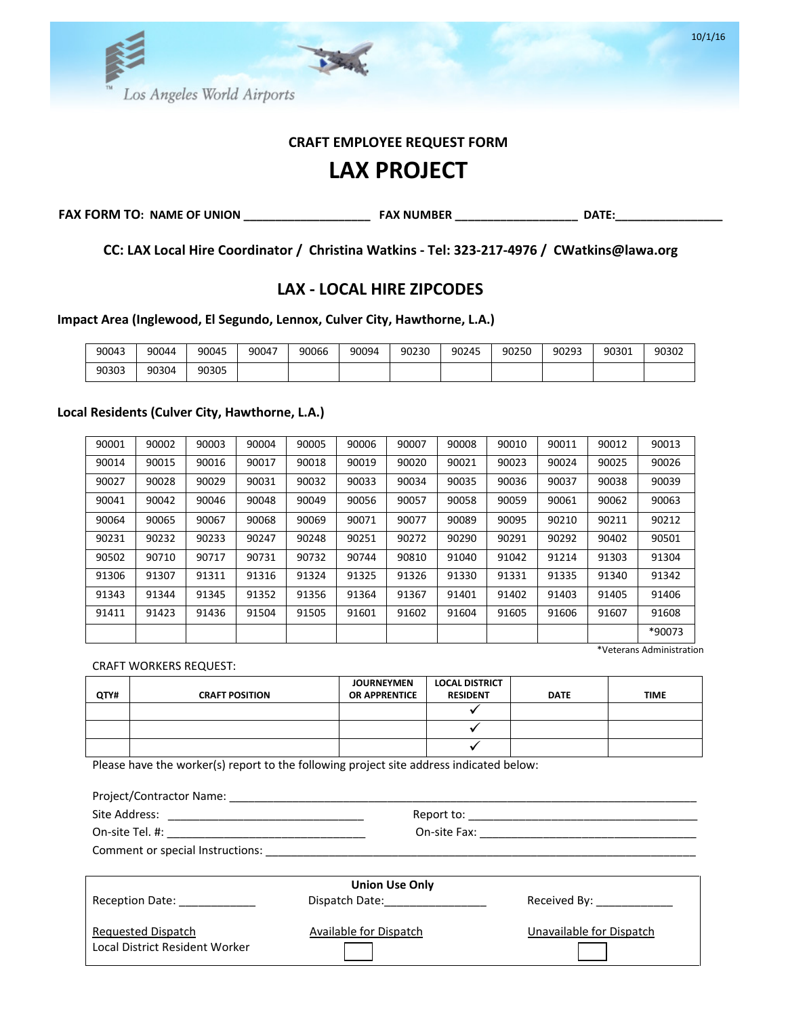

# **CRAFT EMPLOYEE REQUEST FORM**

# **LAX PROJECT**

**FAX FORM TO: NAME OF UNION \_\_\_\_\_\_\_\_\_\_\_\_\_\_\_\_\_\_\_\_ FAX NUMBER \_\_\_\_\_\_\_\_\_\_\_\_\_\_\_\_\_\_\_ DATE:\_\_\_\_\_\_\_\_\_\_\_\_\_\_\_\_\_** 

**CC: LAX Local Hire Coordinator / Christina Watkins - Tel: 323-217-4976 / CWatkins@lawa.org**

# **LAX - LOCAL HIRE ZIPCODES**

**Impact Area (Inglewood, El Segundo, Lennox, Culver City, Hawthorne, L.A.)**

| 90043 | 90044 | 90045 | 90047 | 90066 | 90094 | 90230 | 90245 | 90250 | 90293 | 90301 | 90302 |
|-------|-------|-------|-------|-------|-------|-------|-------|-------|-------|-------|-------|
| 90303 | 90304 | 90305 |       |       |       |       |       |       |       |       |       |

#### **Local Residents (Culver City, Hawthorne, L.A.)**

| 90001 | 90002 | 90003 | 90004 | 90005 | 90006 | 90007 | 90008 | 90010 | 90011 | 90012 | 90013  |
|-------|-------|-------|-------|-------|-------|-------|-------|-------|-------|-------|--------|
| 90014 | 90015 | 90016 | 90017 | 90018 | 90019 | 90020 | 90021 | 90023 | 90024 | 90025 | 90026  |
| 90027 | 90028 | 90029 | 90031 | 90032 | 90033 | 90034 | 90035 | 90036 | 90037 | 90038 | 90039  |
| 90041 | 90042 | 90046 | 90048 | 90049 | 90056 | 90057 | 90058 | 90059 | 90061 | 90062 | 90063  |
| 90064 | 90065 | 90067 | 90068 | 90069 | 90071 | 90077 | 90089 | 90095 | 90210 | 90211 | 90212  |
| 90231 | 90232 | 90233 | 90247 | 90248 | 90251 | 90272 | 90290 | 90291 | 90292 | 90402 | 90501  |
| 90502 | 90710 | 90717 | 90731 | 90732 | 90744 | 90810 | 91040 | 91042 | 91214 | 91303 | 91304  |
| 91306 | 91307 | 91311 | 91316 | 91324 | 91325 | 91326 | 91330 | 91331 | 91335 | 91340 | 91342  |
| 91343 | 91344 | 91345 | 91352 | 91356 | 91364 | 91367 | 91401 | 91402 | 91403 | 91405 | 91406  |
| 91411 | 91423 | 91436 | 91504 | 91505 | 91601 | 91602 | 91604 | 91605 | 91606 | 91607 | 91608  |
|       |       |       |       |       |       |       |       |       |       |       | *90073 |

\*Veterans Administration

CRAFT WORKERS REQUEST:

| QTY# | <b>CRAFT POSITION</b> | <b>JOURNEYMEN</b><br><b>OR APPRENTICE</b> | <b>LOCAL DISTRICT</b><br><b>RESIDENT</b> | <b>DATE</b> | <b>TIME</b> |
|------|-----------------------|-------------------------------------------|------------------------------------------|-------------|-------------|
|      |                       |                                           |                                          |             |             |
|      |                       |                                           |                                          |             |             |
|      |                       |                                           |                                          |             |             |

Please have the worker(s) report to the following project site address indicated below:

| Project/Contractor Name: 1997 1997 1998 |                        |                           |  |  |  |  |
|-----------------------------------------|------------------------|---------------------------|--|--|--|--|
|                                         |                        |                           |  |  |  |  |
|                                         |                        |                           |  |  |  |  |
|                                         |                        |                           |  |  |  |  |
|                                         |                        |                           |  |  |  |  |
| <b>Union Use Only</b>                   |                        |                           |  |  |  |  |
| Reception Date: ____________            |                        | Received By: ____________ |  |  |  |  |
| Requested Dispatch                      | Available for Dispatch | Unavailable for Dispatch  |  |  |  |  |
| Local District Resident Worker          |                        |                           |  |  |  |  |

10/1/16